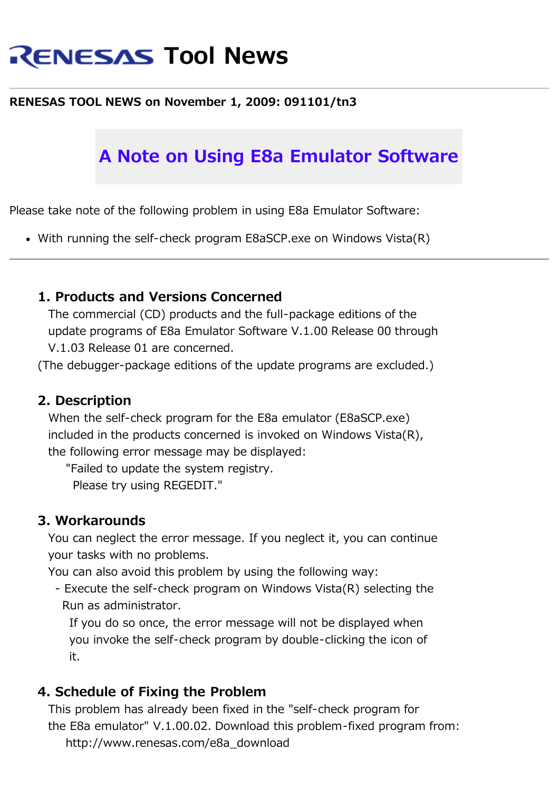# **RENESAS Tool News**

### **RENESAS TOOL NEWS on November 1, 2009: 091101/tn3**

## **A Note on Using E8a Emulator Software**

Please take note of the following problem in using E8a Emulator Software:

With running the self-check program E8aSCP.exe on Windows Vista(R)

#### **1. Products and Versions Concerned**

 The commercial (CD) products and the full-package editions of the update programs of E8a Emulator Software V.1.00 Release 00 through V.1.03 Release 01 are concerned.

(The debugger-package editions of the update programs are excluded.)

#### **2. Description**

 When the self-check program for the E8a emulator (E8aSCP.exe) included in the products concerned is invoked on Windows Vista(R), the following error message may be displayed:

"Failed to update the system registry.

Please try using REGEDIT."

#### **3. Workarounds**

 You can neglect the error message. If you neglect it, you can continue your tasks with no problems.

You can also avoid this problem by using the following way:

 - Execute the self-check program on Windows Vista(R) selecting the Run as administrator.

 If you do so once, the error message will not be displayed when you invoke the self-check program by double-clicking the icon of it.

### **4. Schedule of Fixing the Problem**

 This problem has already been fixed in the "self-check program for the E8a emulator" V.1.00.02. Download this problem-fixed program from: http://www.renesas.com/e8a\_download